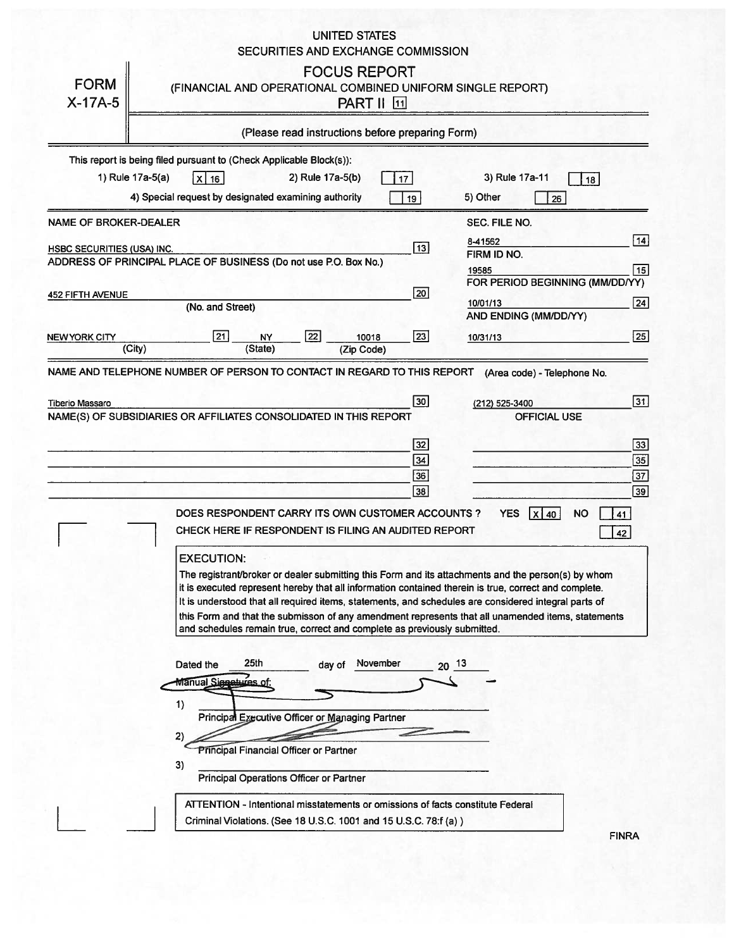## UNITED STATES SECURITIES AND EXCHANGE COMMISSION

| <b>FORM</b><br>$X-17A-5$                                   | <b>FOCUS REPORT</b><br>(FINANCIAL AND OPERATIONAL COMBINED UNIFORM SINGLE REPORT)<br><b>PART II 11</b>                                                                                                                                                                                                                                                                                                                                                                                                                    |                                                                                   |
|------------------------------------------------------------|---------------------------------------------------------------------------------------------------------------------------------------------------------------------------------------------------------------------------------------------------------------------------------------------------------------------------------------------------------------------------------------------------------------------------------------------------------------------------------------------------------------------------|-----------------------------------------------------------------------------------|
|                                                            | (Please read instructions before preparing Form)                                                                                                                                                                                                                                                                                                                                                                                                                                                                          |                                                                                   |
|                                                            | This report is being filed pursuant to (Check Applicable Block(s)):<br>1) Rule 17a-5(a)<br>2) Rule 17a-5(b)<br>3) Rule 17a-11<br>$x _{16}$<br>17<br>4) Special request by designated examining authority<br>5) Other<br>19                                                                                                                                                                                                                                                                                                | 18  <br>26                                                                        |
| NAME OF BROKER-DEALER<br><b>HSBC SECURITIES (USA) INC.</b> | SEC. FILE NO.<br>8-41562<br>$\boxed{13}$<br>FIRM ID NO.<br>ADDRESS OF PRINCIPAL PLACE OF BUSINESS (Do not use P.O. Box No.)<br>19585                                                                                                                                                                                                                                                                                                                                                                                      | 14 <br> 15                                                                        |
| <b>452 FIFTH AVENUE</b><br>NEW YORK CITY                   | 20 <br>10/01/13<br>(No. and Street)<br>AND ENDING (MM/DD/YY)<br>$\overline{22}$<br>21<br>$\boxed{23}$<br><b>NY</b><br>10018<br>10/31/13                                                                                                                                                                                                                                                                                                                                                                                   | FOR PERIOD BEGINNING (MM/DD/YY)<br>24<br> 25                                      |
|                                                            | (State)<br>(City)<br>(Zip Code)<br>NAME AND TELEPHONE NUMBER OF PERSON TO CONTACT IN REGARD TO THIS REPORT<br>(Area code) - Telephone No.<br> 30 <br>(212) 525-3400                                                                                                                                                                                                                                                                                                                                                       | 31                                                                                |
|                                                            | NAME(S) OF SUBSIDIARIES OR AFFILIATES CONSOLIDATED IN THIS REPORT<br> 32 <br>34<br>36<br>38<br>DOES RESPONDENT CARRY ITS OWN CUSTOMER ACCOUNTS?<br><b>YES</b><br>$X$ 40<br>CHECK HERE IF RESPONDENT IS FILING AN AUDITED REPORT                                                                                                                                                                                                                                                                                           | <b>OFFICIAL USE</b><br>33<br>35<br>$\overline{37}$<br>39<br><b>NO</b><br>41<br>42 |
|                                                            | <b>EXECUTION:</b><br>The registrant/broker or dealer submitting this Form and its attachments and the person(s) by whom<br>it is executed represent hereby that all information contained therein is true, correct and complete.<br>It is understood that all required items, statements, and schedules are considered integral parts of<br>this Form and that the submisson of any amendment represents that all unamended items, statements<br>and schedules remain true, correct and complete as previously submitted. |                                                                                   |
|                                                            | 25th<br>November<br>$20^{13}$<br>Dated the<br>day of<br>Manual Siccetures of:<br>1)<br>Principal Executive Officer or Managing Partner<br>2)<br><b>Principal Financial Officer or Partner</b><br>3)<br>Principal Operations Officer or Partner<br>ATTENTION - Intentional misstatements or omissions of facts constitute Federal                                                                                                                                                                                          |                                                                                   |
|                                                            | Criminal Violations. (See 18 U.S.C. 1001 and 15 U.S.C. 78:f (a))                                                                                                                                                                                                                                                                                                                                                                                                                                                          | <b>FINRA</b>                                                                      |

FINRA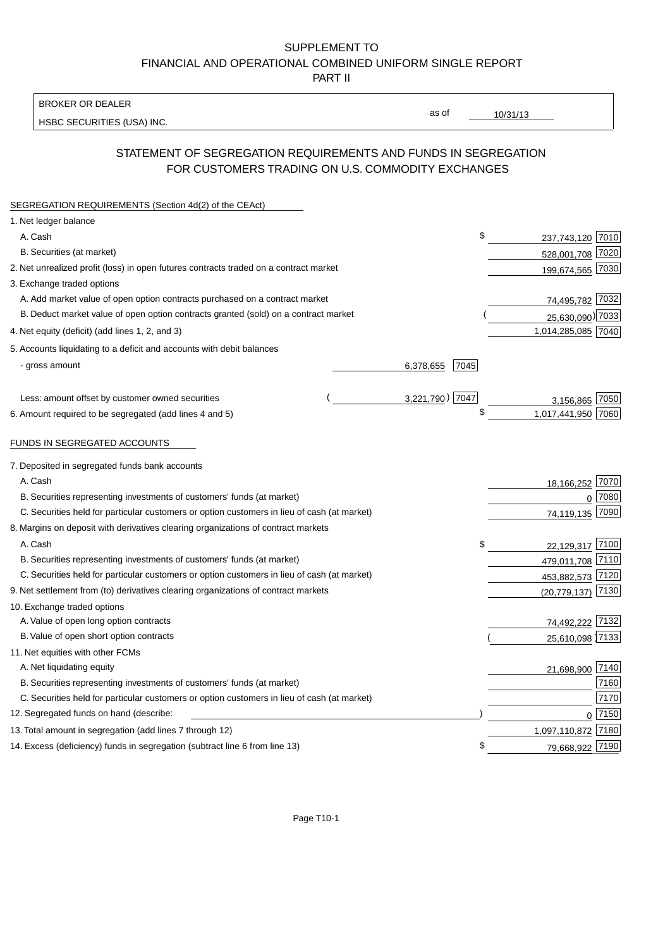### SUPPLEMENT TO FINANCIAL AND OPERATIONAL COMBINED UNIFORM SINGLE REPORT PART II

#### BROKER OR DEALER

HSBC SECURITIES (USA) INC.

 $10/31/13$ 

as of

# STATEMENT OF SEGREGATION REQUIREMENTS AND FUNDS IN SEGREGATION FOR CUSTOMERS TRADING ON U.S. COMMODITY EXCHANGES

| SEGREGATION REQUIREMENTS (Section 4d(2) of the CEAct)                                       |                   |                       |      |
|---------------------------------------------------------------------------------------------|-------------------|-----------------------|------|
| 1. Net ledger balance                                                                       |                   |                       |      |
| A. Cash                                                                                     | \$                | 237,743,120           | 7010 |
| B. Securities (at market)                                                                   |                   | 528,001,708 7020      |      |
| 2. Net unrealized profit (loss) in open futures contracts traded on a contract market       |                   | 199,674,565 7030      |      |
| 3. Exchange traded options                                                                  |                   |                       |      |
| A. Add market value of open option contracts purchased on a contract market                 |                   | 74,495,782 7032       |      |
| B. Deduct market value of open option contracts granted (sold) on a contract market         |                   | 25,630,090) 7033      |      |
| 4. Net equity (deficit) (add lines 1, 2, and 3)                                             |                   | 1,014,285,085 7040    |      |
| 5. Accounts liquidating to a deficit and accounts with debit balances                       |                   |                       |      |
| - gross amount                                                                              | 7045<br>6,378,655 |                       |      |
|                                                                                             |                   |                       |      |
| Less: amount offset by customer owned securities                                            | 3,221,790) 7047   | 3,156,865 7050        |      |
| 6. Amount required to be segregated (add lines 4 and 5)                                     | \$                | 1,017,441,950         | 7060 |
|                                                                                             |                   |                       |      |
| FUNDS IN SEGREGATED ACCOUNTS                                                                |                   |                       |      |
| 7. Deposited in segregated funds bank accounts                                              |                   |                       |      |
| A. Cash                                                                                     |                   | 18,166,252            | 7070 |
| B. Securities representing investments of customers' funds (at market)                      |                   | $\Omega$              | 7080 |
| C. Securities held for particular customers or option customers in lieu of cash (at market) |                   | 74,119,135            | 7090 |
| 8. Margins on deposit with derivatives clearing organizations of contract markets           |                   |                       |      |
| A. Cash                                                                                     | \$                | 22,129,317            | 7100 |
| B. Securities representing investments of customers' funds (at market)                      |                   | 479,011,708           | 7110 |
| C. Securities held for particular customers or option customers in lieu of cash (at market) |                   | 453,882,573 7120      |      |
| 9. Net settlement from (to) derivatives clearing organizations of contract markets          |                   | $(20, 779, 137)$ 7130 |      |
| 10. Exchange traded options                                                                 |                   |                       |      |
| A. Value of open long option contracts                                                      |                   | 74,492,222 7132       |      |
| B. Value of open short option contracts                                                     |                   | 25,610,098 7133       |      |
| 11. Net equities with other FCMs                                                            |                   |                       |      |
| A. Net liquidating equity                                                                   |                   | 21,698,900 7140       |      |
| B. Securities representing investments of customers' funds (at market)                      |                   |                       | 7160 |
| C. Securities held for particular customers or option customers in lieu of cash (at market) |                   |                       | 7170 |
| 12. Segregated funds on hand (describe:                                                     |                   | $\Omega$              | 7150 |
| 13. Total amount in segregation (add lines 7 through 12)                                    |                   | 1,097,110,872         | 7180 |
| 14. Excess (deficiency) funds in segregation (subtract line 6 from line 13)                 | S                 | 79,668,922 7190       |      |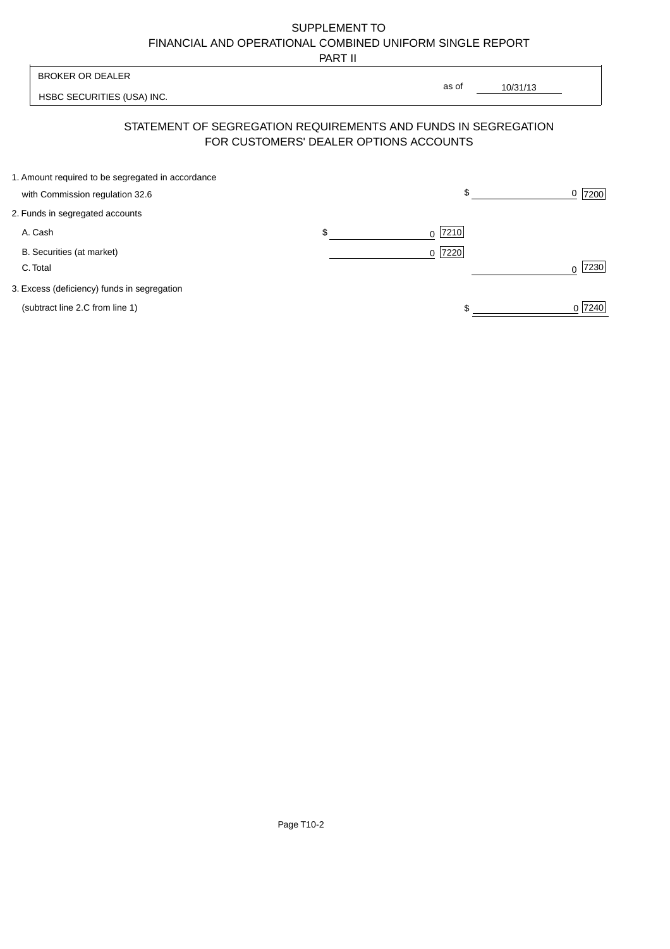# SUPPLEMENT TO FINANCIAL AND OPERATIONAL COMBINED UNIFORM SINGLE REPORT

PART II

 $\overline{1}$ 

| <b>BROKER OR DEALER</b>                                                                                  |    | as of      |          |           |
|----------------------------------------------------------------------------------------------------------|----|------------|----------|-----------|
| HSBC SECURITIES (USA) INC.                                                                               |    |            | 10/31/13 |           |
| STATEMENT OF SEGREGATION REQUIREMENTS AND FUNDS IN SEGREGATION<br>FOR CUSTOMERS' DEALER OPTIONS ACCOUNTS |    |            |          |           |
| 1. Amount required to be segregated in accordance<br>with Commission regulation 32.6                     |    | \$         |          | 7200<br>0 |
| 2. Funds in segregated accounts                                                                          |    |            |          |           |
| A. Cash                                                                                                  | \$ | 7210 <br>0 |          |           |
| B. Securities (at market)<br>C. Total                                                                    |    | 7220<br>0  |          | 7230      |
| 3. Excess (deficiency) funds in segregation                                                              |    |            |          |           |
| (subtract line 2.C from line 1)                                                                          |    |            |          | 0 7240    |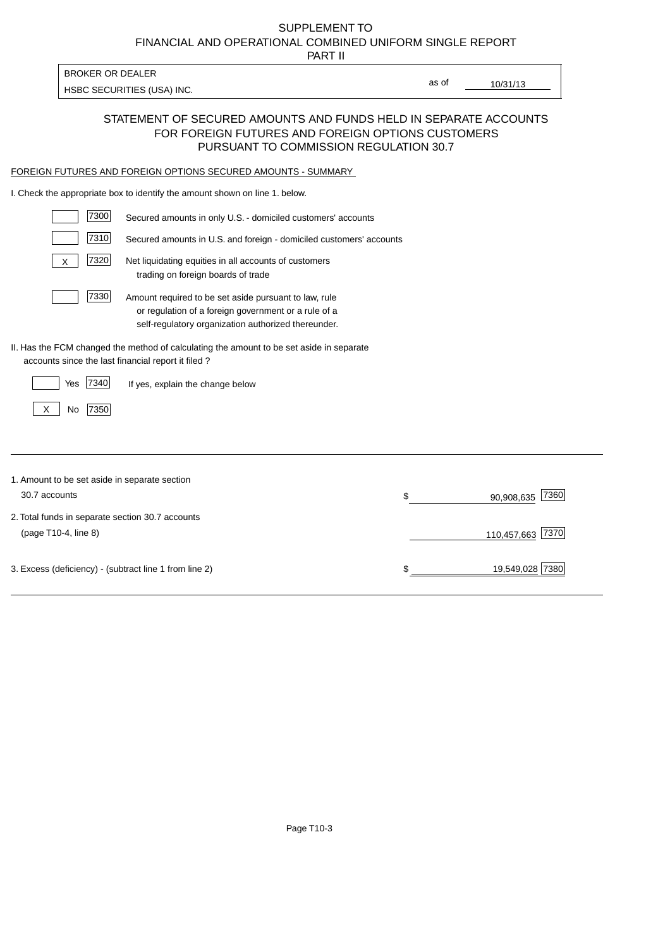# FINANCIAL AND OPERATIONAL COMBINED UNIFORM SINGLE REPORT SUPPLEMENT TO

PART II

| BROKER OR DEALER           |  |
|----------------------------|--|
| HSBC SECURITIES (USA) INC. |  |

10/31/13

as of

#### STATEMENT OF SECURED AMOUNTS AND FUNDS HELD IN SEPARATE ACCOUNTS FOR FOREIGN FUTURES AND FOREIGN OPTIONS CUSTOMERS PURSUANT TO COMMISSION REGULATION 30.7

#### FOREIGN FUTURES AND FOREIGN OPTIONS SECURED AMOUNTS - SUMMARY

I. Check the appropriate box to identify the amount shown on line 1. below.

| 7300                                                   | Secured amounts in only U.S. - domiciled customers' accounts                                                                                                         |                          |
|--------------------------------------------------------|----------------------------------------------------------------------------------------------------------------------------------------------------------------------|--------------------------|
| 7310                                                   | Secured amounts in U.S. and foreign - domiciled customers' accounts                                                                                                  |                          |
| 7320<br>X                                              | Net liquidating equities in all accounts of customers<br>trading on foreign boards of trade                                                                          |                          |
| 7330                                                   | Amount required to be set aside pursuant to law, rule<br>or regulation of a foreign government or a rule of a<br>self-regulatory organization authorized thereunder. |                          |
| accounts since the last financial report it filed?     | II. Has the FCM changed the method of calculating the amount to be set aside in separate                                                                             |                          |
| 7340<br>Yes                                            | If yes, explain the change below                                                                                                                                     |                          |
| 7350<br>X<br>No                                        |                                                                                                                                                                      |                          |
|                                                        |                                                                                                                                                                      |                          |
| 1. Amount to be set aside in separate section          |                                                                                                                                                                      |                          |
| 30.7 accounts                                          |                                                                                                                                                                      | \$<br>7360<br>90,908,635 |
| 2. Total funds in separate section 30.7 accounts       |                                                                                                                                                                      |                          |
| (page T10-4, line 8)                                   |                                                                                                                                                                      | 7370<br>110,457,663      |
| 3. Excess (deficiency) - (subtract line 1 from line 2) |                                                                                                                                                                      | \$<br>19,549,028 7380    |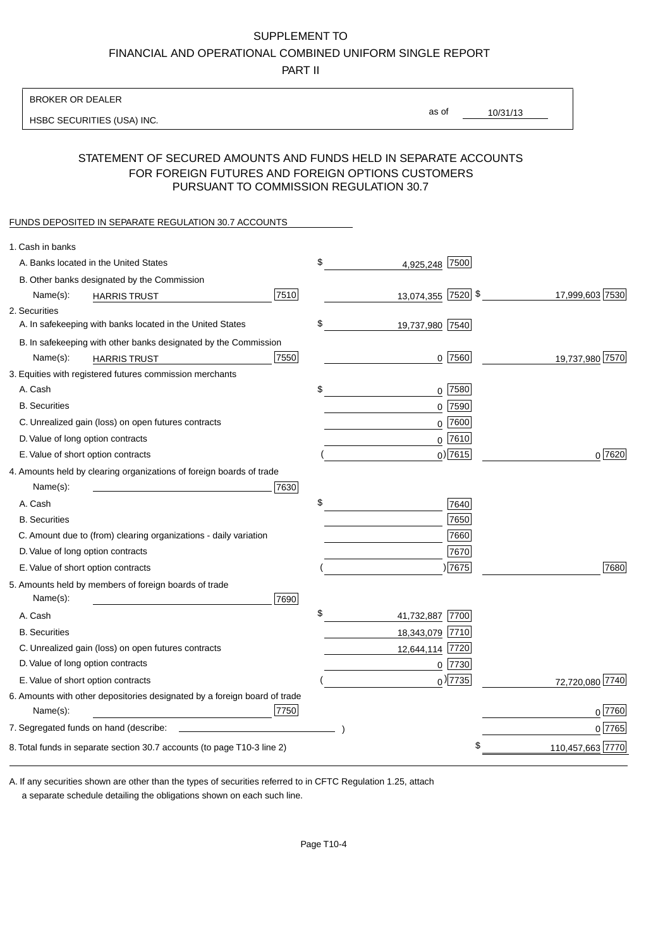#### SUPPLEMENT TO

FINANCIAL AND OPERATIONAL COMBINED UNIFORM SINGLE REPORT

PART II

#### BROKER OR DEALER

HSBC SECURITIES (USA) INC.

10/31/13 as of

#### STATEMENT OF SECURED AMOUNTS AND FUNDS HELD IN SEPARATE ACCOUNTS FOR FOREIGN FUTURES AND FOREIGN OPTIONS CUSTOMERS PURSUANT TO COMMISSION REGULATION 30.7

#### FUNDS DEPOSITED IN SEPARATE REGULATION 30.7 ACCOUNTS

| 1. Cash in banks                                                                              |                       |                  |
|-----------------------------------------------------------------------------------------------|-----------------------|------------------|
| A. Banks located in the United States                                                         | \$<br>4,925,248 7500  |                  |
| B. Other banks designated by the Commission                                                   |                       |                  |
| 7510<br>Name(s):<br><b>HARRIS TRUST</b>                                                       | 13,074,355 7520 \$    | 17,999,603 7530  |
| 2. Securities                                                                                 |                       |                  |
| A. In safekeeping with banks located in the United States                                     | \$<br>19,737,980 7540 |                  |
| B. In safekeeping with other banks designated by the Commission                               |                       |                  |
| 7550<br>Name(s):<br><b>HARRIS TRUST</b>                                                       | $0$ 7560              | 19,737,980 7570  |
| 3. Equities with registered futures commission merchants                                      |                       |                  |
| A. Cash                                                                                       | \$<br>$0$ 7580        |                  |
| <b>B.</b> Securities                                                                          | $0$ 7590              |                  |
| C. Unrealized gain (loss) on open futures contracts                                           | $0$ 7600              |                  |
| D. Value of long option contracts                                                             | $0$ 7610              |                  |
| E. Value of short option contracts                                                            | $0$ ) 7615            | 0 7620           |
| 4. Amounts held by clearing organizations of foreign boards of trade                          |                       |                  |
| Name(s):<br>7630                                                                              |                       |                  |
| A. Cash                                                                                       | \$<br>7640            |                  |
| <b>B.</b> Securities                                                                          | 7650                  |                  |
| C. Amount due to (from) clearing organizations - daily variation                              | 7660                  |                  |
| D. Value of long option contracts                                                             | 7670                  |                  |
| E. Value of short option contracts                                                            | 7675                  | 7680             |
| 5. Amounts held by members of foreign boards of trade<br>Name(s):<br>7690                     |                       |                  |
| A. Cash                                                                                       | \$<br>41,732,887 7700 |                  |
| <b>B.</b> Securities                                                                          | 18,343,079 7710       |                  |
| C. Unrealized gain (loss) on open futures contracts                                           | 12,644,114 7720       |                  |
| D. Value of long option contracts                                                             | $0$  7730             |                  |
| E. Value of short option contracts                                                            | $_0$ ) 7735           | 72,720,080 7740  |
| 6. Amounts with other depositories designated by a foreign board of trade<br>7750<br>Name(s): |                       | 0 7760           |
|                                                                                               |                       | 0 7765           |
|                                                                                               |                       |                  |
| 8. Total funds in separate section 30.7 accounts (to page T10-3 line 2)                       |                       | 110,457,663 7770 |

a separate schedule detailing the obligations shown on each such line. A. If any securities shown are other than the types of securities referred to in CFTC Regulation 1.25, attach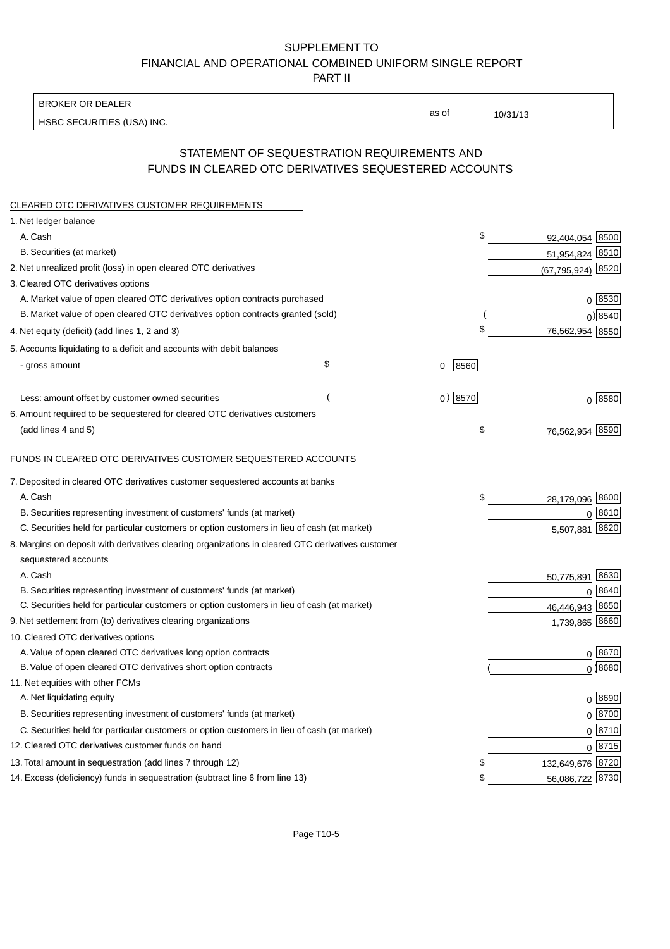### SUPPLEMENT TO FINANCIAL AND OPERATIONAL COMBINED UNIFORM SINGLE REPORT PART II

BROKER OR DEALER

HSBC SECURITIES (USA) INC.

10/31/13

as of

## STATEMENT OF SEQUESTRATION REQUIREMENTS AND FUNDS IN CLEARED OTC DERIVATIVES SEQUESTERED ACCOUNTS

| CLEARED OTC DERIVATIVES CUSTOMER REQUIREMENTS                                                     |                 |                                           |
|---------------------------------------------------------------------------------------------------|-----------------|-------------------------------------------|
| 1. Net ledger balance                                                                             |                 |                                           |
| A. Cash                                                                                           | \$              | 92,404,054 8500                           |
| B. Securities (at market)                                                                         |                 | 51,954,824 8510                           |
| 2. Net unrealized profit (loss) in open cleared OTC derivatives                                   |                 | $(67, 795, 924)$ 8520                     |
| 3. Cleared OTC derivatives options                                                                |                 |                                           |
| A. Market value of open cleared OTC derivatives option contracts purchased                        |                 | $0 \; 8530$                               |
| B. Market value of open cleared OTC derivatives option contracts granted (sold)                   |                 | $0$ ) 8540                                |
| 4. Net equity (deficit) (add lines 1, 2 and 3)                                                    | \$              | 76,562,954 8550                           |
| 5. Accounts liquidating to a deficit and accounts with debit balances                             |                 |                                           |
| - gross amount                                                                                    | \$<br>8560<br>0 |                                           |
| Less: amount offset by customer owned securities                                                  | 0) 8570         | 0 8580                                    |
| 6. Amount required to be sequestered for cleared OTC derivatives customers                        |                 |                                           |
| (add lines 4 and 5)                                                                               | \$              | 8590<br>76,562,954                        |
| FUNDS IN CLEARED OTC DERIVATIVES CUSTOMER SEQUESTERED ACCOUNTS                                    |                 |                                           |
| 7. Deposited in cleared OTC derivatives customer sequestered accounts at banks                    |                 |                                           |
| A. Cash                                                                                           | \$              |                                           |
| B. Securities representing investment of customers' funds (at market)                             |                 | 28,179,096 8600<br>8610<br>$\overline{0}$ |
| C. Securities held for particular customers or option customers in lieu of cash (at market)       |                 | 8620<br>5,507,881                         |
| 8. Margins on deposit with derivatives clearing organizations in cleared OTC derivatives customer |                 |                                           |
| sequestered accounts                                                                              |                 |                                           |
| A. Cash                                                                                           |                 | 50,775,891 8630                           |
| B. Securities representing investment of customers' funds (at market)                             |                 | 8640<br>$\mathbf 0$                       |
| C. Securities held for particular customers or option customers in lieu of cash (at market)       |                 | 46,446,943 8650                           |
| 9. Net settlement from (to) derivatives clearing organizations                                    |                 | 1,739,865 8660                            |
| 10. Cleared OTC derivatives options                                                               |                 |                                           |
| A. Value of open cleared OTC derivatives long option contracts                                    |                 | 0 8670                                    |
| B. Value of open cleared OTC derivatives short option contracts                                   |                 | $0$ 8680                                  |
| 11. Net equities with other FCMs                                                                  |                 |                                           |
| A. Net liquidating equity                                                                         |                 | 0   8690                                  |
| B. Securities representing investment of customers' funds (at market)                             |                 | $0$ 8700                                  |
| C. Securities held for particular customers or option customers in lieu of cash (at market)       |                 | $0 \overline{8710}$                       |
| 12. Cleared OTC derivatives customer funds on hand                                                |                 | $0 \overline{8715}$                       |
| 13. Total amount in sequestration (add lines 7 through 12)                                        | \$              | 132,649,676 8720                          |
| 14. Excess (deficiency) funds in sequestration (subtract line 6 from line 13)                     | \$              | 56,086,722 8730                           |